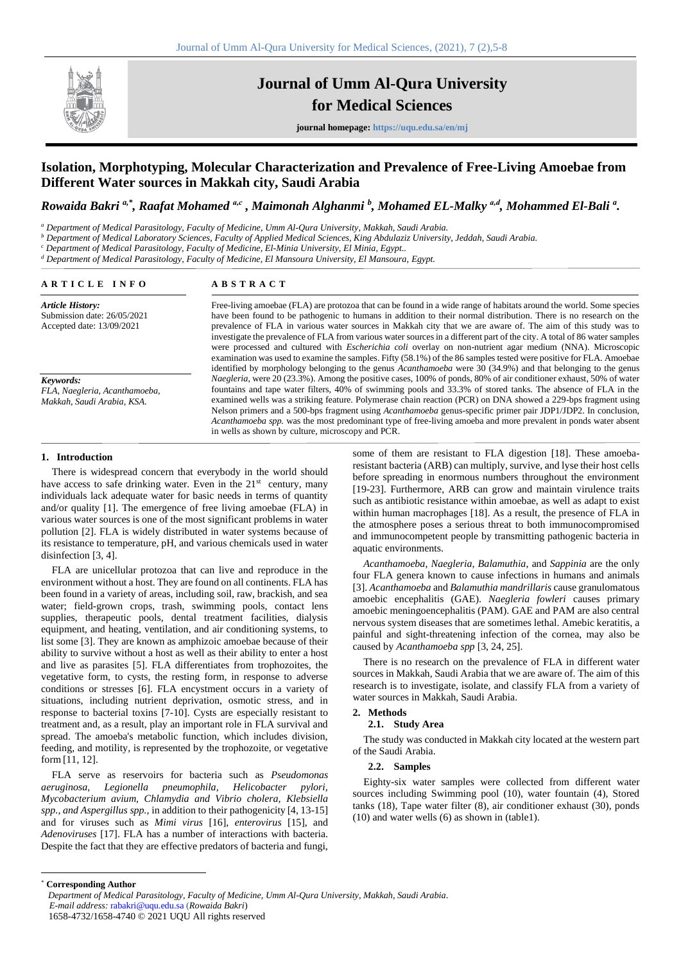

# **Journal of Umm Al-Qura University for Medical Sciences**

**journal homepage: https://uqu.edu.sa/en/mj**

## **Isolation, Morphotyping, Molecular Characterization and Prevalence of Free-Living Amoebae from Different Water sources in Makkah city, Saudi Arabia**

*Rowaida Bakri a,\*, Raafat Mohamed a,c , Maimonah Alghanmi <sup>b</sup> , Mohamed EL-Malky a,d, Mohammed El-Bali <sup>a</sup> .* 

*<sup>a</sup> Department of Medical Parasitology, Faculty of Medicine, Umm Al-Qura University, Makkah, Saudi Arabia.* 

*<sup>b</sup> Department of Medical Laboratory Sciences, Faculty of Applied Medical Sciences, King Abdulaziz University, Jeddah, Saudi Arabia.* 

*<sup>c</sup> Department of Medical Parasitology, Faculty of Medicine, El-Minia University, El Minia, Egypt..* 

*<sup>d</sup> Department of Medical Parasitology, Faculty of Medicine, El Mansoura University, El Mansoura, Egypt.* 

| ARTICLE INFO                                                                                                                                                    | <b>ABSTRACT</b>                                                                                                                                                                                                                                                                                                                                                                                                                                                                                                                                                                                                                                                                                                                                                                                                                               |  |  |
|-----------------------------------------------------------------------------------------------------------------------------------------------------------------|-----------------------------------------------------------------------------------------------------------------------------------------------------------------------------------------------------------------------------------------------------------------------------------------------------------------------------------------------------------------------------------------------------------------------------------------------------------------------------------------------------------------------------------------------------------------------------------------------------------------------------------------------------------------------------------------------------------------------------------------------------------------------------------------------------------------------------------------------|--|--|
| <b>Article History:</b><br>Submission date: 26/05/2021<br>Accepted date: 13/09/2021<br>Keywords:<br>FLA, Naegleria, Acanthamoeba,<br>Makkah, Saudi Arabia, KSA. | Free-living amoebae (FLA) are protozoa that can be found in a wide range of habitats around the world. Some species<br>have been found to be pathogenic to humans in addition to their normal distribution. There is no research on the<br>prevalence of FLA in various water sources in Makkah city that we are aware of. The aim of this study was to<br>investigate the prevalence of FLA from various water sources in a different part of the city. A total of 86 water samples<br>were processed and cultured with <i>Escherichia coli</i> overlay on non-nutrient agar medium (NNA). Microscopic<br>examination was used to examine the samples. Fifty (58.1%) of the 86 samples tested were positive for FLA. Amoebae<br>identified by morphology belonging to the genus Acanthamoeba were 30 (34.9%) and that belonging to the genus |  |  |
|                                                                                                                                                                 | <i>Naegleria</i> , were 20 (23.3%). Among the positive cases, 100% of ponds, 80% of air conditioner exhaust, 50% of water<br>fountains and tape water filters, 40% of swimming pools and 33.3% of stored tanks. The absence of FLA in the<br>examined wells was a striking feature. Polymerase chain reaction (PCR) on DNA showed a 229-bps fragment using<br>Nelson primers and a 500-bps fragment using <i>Acanthamoeba</i> genus-specific primer pair JDP1/JDP2. In conclusion,<br>Acanthamoeba spp. was the most predominant type of free-living amoeba and more prevalent in ponds water absent<br>in wells as shown by culture, microscopy and PCR.                                                                                                                                                                                     |  |  |

#### **1. Introduction**

There is widespread concern that everybody in the world should have access to safe drinking water. Even in the  $21<sup>st</sup>$  century, many individuals lack adequate water for basic needs in terms of quantity and/or quality [1]. The emergence of free living amoebae (FLA) in various water sources is one of the most significant problems in water pollution [2]. FLA is widely distributed in water systems because of its resistance to temperature, pH, and various chemicals used in water disinfection [3, 4].

FLA are unicellular protozoa that can live and reproduce in the environment without a host. They are found on all continents. FLA has been found in a variety of areas, including soil, raw, brackish, and sea water; field-grown crops, trash, swimming pools, contact lens supplies, therapeutic pools, dental treatment facilities, dialysis equipment, and heating, ventilation, and air conditioning systems, to list some [3]. They are known as amphizoic amoebae because of their ability to survive without a host as well as their ability to enter a host and live as parasites [5]. FLA differentiates from trophozoites, the vegetative form, to cysts, the resting form, in response to adverse conditions or stresses [6]. FLA encystment occurs in a variety of situations, including nutrient deprivation, osmotic stress, and in response to bacterial toxins [7-10]. Cysts are especially resistant to treatment and, as a result, play an important role in FLA survival and spread. The amoeba's metabolic function, which includes division, feeding, and motility, is represented by the trophozoite, or vegetative form [11, 12].

FLA serve as reservoirs for bacteria such as *Pseudomonas aeruginosa*, *Legionella pneumophila, Helicobacter pylori, Mycobacterium avium, Chlamydia and Vibrio cholera, Klebsiella spp., and Aspergillus spp.,* in addition to their pathogenicity [4, 13-15] and for viruses such as *Mimi virus* [16], *enterovirus* [15], and *Adenoviruses* [17]. FLA has a number of interactions with bacteria. Despite the fact that they are effective predators of bacteria and fungi,

some of them are resistant to FLA digestion [18]. These amoebaresistant bacteria (ARB) can multiply, survive, and lyse their host cells before spreading in enormous numbers throughout the environment [19-23]. Furthermore, ARB can grow and maintain virulence traits such as antibiotic resistance within amoebae, as well as adapt to exist within human macrophages [18]. As a result, the presence of FLA in the atmosphere poses a serious threat to both immunocompromised and immunocompetent people by transmitting pathogenic bacteria in aquatic environments.

*Acanthamoeba, Naegleria, Balamuthia*, and *Sappinia* are the only four FLA genera known to cause infections in humans and animals [3]. *Acanthamoeba* and *Balamuthia mandrillaris* cause granulomatous amoebic encephalitis (GAE). *Naegleria fowleri* causes primary amoebic meningoencephalitis (PAM). GAE and PAM are also central nervous system diseases that are sometimes lethal. Amebic keratitis, a painful and sight-threatening infection of the cornea, may also be caused by *Acanthamoeba spp* [3, 24, 25].

There is no research on the prevalence of FLA in different water sources in Makkah, Saudi Arabia that we are aware of. The aim of this research is to investigate, isolate, and classify FLA from a variety of water sources in Makkah, Saudi Arabia.

### **2. Methods**

## **2.1. Study Area**

The study was conducted in Makkah city located at the western part of the Saudi Arabia.

#### **2.2. Samples**

Eighty-six water samples were collected from different water sources including Swimming pool (10), water fountain (4), Stored tanks (18), Tape water filter (8), air conditioner exhaust (30), ponds (10) and water wells (6) as shown in (table1).

\* **Corresponding Author**

*Department of Medical Parasitology, Faculty of Medicine, Umm Al-Qura University, Makkah, Saudi Arabia*. *E-mail address:* rabakri@uqu.edu.sa (*Rowaida Bakri*)

<sup>1658-4732/1658-4740</sup> © 2021 UQU All rights reserved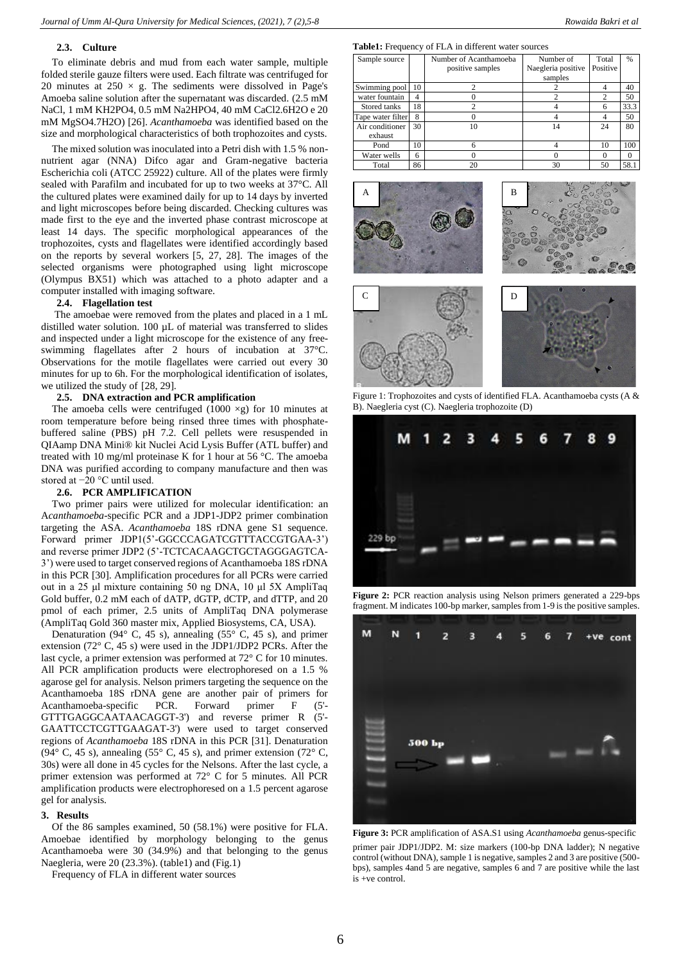#### **2.3. Culture**

To eliminate debris and mud from each water sample, multiple folded sterile gauze filters were used. Each filtrate was centrifuged for 20 minutes at  $250 \times g$ . The sediments were dissolved in Page's Amoeba saline solution after the supernatant was discarded. (2.5 mM NaCl, 1 mM KH2PO4, 0.5 mM Na2HPO4, 40 mM CaCl2.6H2O e 20 mM MgSO4.7H2O) [26]. *Acanthamoeba* was identified based on the size and morphological characteristics of both trophozoites and cysts.

The mixed solution was inoculated into a Petri dish with 1.5 % nonnutrient agar (NNA) Difco agar and Gram-negative bacteria Escherichia coli (ATCC 25922) culture. All of the plates were firmly sealed with Parafilm and incubated for up to two weeks at 37°C. All the cultured plates were examined daily for up to 14 days by inverted and light microscopes before being discarded. Checking cultures was made first to the eye and the inverted phase contrast microscope at least 14 days. The specific morphological appearances of the trophozoites, cysts and flagellates were identified accordingly based on the reports by several workers [5, 27, 28]. The images of the selected organisms were photographed using light microscope (Olympus BX51) which was attached to a photo adapter and a computer installed with imaging software.

## **2.4. Flagellation test**

The amoebae were removed from the plates and placed in a 1 mL distilled water solution. 100 µL of material was transferred to slides and inspected under a light microscope for the existence of any freeswimming flagellates after 2 hours of incubation at 37°C. Observations for the motile flagellates were carried out every 30 minutes for up to 6h. For the morphological identification of isolates, we utilized the study of [28, 29].

## **2.5. DNA extraction and PCR amplification**

The amoeba cells were centrifuged (1000  $\times$ g) for 10 minutes at room temperature before being rinsed three times with phosphatebuffered saline (PBS) pH 7.2. Cell pellets were resuspended in QIAamp DNA Mini® kit Nuclei Acid Lysis Buffer (ATL buffer) and treated with 10 mg/ml proteinase K for 1 hour at 56 °C. The amoeba DNA was purified according to company manufacture and then was stored at −20 °C until used.

#### **2.6. PCR AMPLIFICATION**

Two primer pairs were utilized for molecular identification: an A*canthamoeba*-specific PCR and a JDP1-JDP2 primer combination targeting the ASA. *Acanthamoeba* 18S rDNA gene S1 sequence. Forward primer JDP1(5'-GGCCCAGATCGTTTACCGTGAA-3') and reverse primer JDP2 (5'-TCTCACAAGCTGCTAGGGAGTCA-3') were used to target conserved regions of Acanthamoeba 18S rDNA in this PCR [30]. Amplification procedures for all PCRs were carried out in a 25 μl mixture containing 50 ng DNA, 10 μl 5X AmpliTaq Gold buffer, 0.2 mM each of dATP, dGTP, dCTP, and dTTP, and 20 pmol of each primer, 2.5 units of AmpliTaq DNA polymerase (AmpliTaq Gold 360 master mix, Applied Biosystems, CA, USA).

Denaturation (94 $\degree$  C, 45 s), annealing (55 $\degree$  C, 45 s), and primer extension (72° C, 45 s) were used in the JDP1/JDP2 PCRs. After the last cycle, a primer extension was performed at 72° C for 10 minutes. All PCR amplification products were electrophoresed on a 1.5 % agarose gel for analysis. Nelson primers targeting the sequence on the Acanthamoeba 18S rDNA gene are another pair of primers for Acanthamoeba-specific PCR. Forward primer F (5'- GTTTGAGGCAATAACAGGT-3') and reverse primer R (5'- GAATTCCTCGTTGAAGAT-3') were used to target conserved regions of *Acanthamoeba* 18S rDNA in this PCR [31]. Denaturation (94 $\degree$  C, 45 s), annealing (55 $\degree$  C, 45 s), and primer extension (72 $\degree$  C, 30s) were all done in 45 cycles for the Nelsons. After the last cycle, a primer extension was performed at 72° C for 5 minutes. All PCR amplification products were electrophoresed on a 1.5 percent agarose gel for analysis.

#### **3. Results**

Of the 86 samples examined, 50 (58.1%) were positive for FLA. Amoebae identified by morphology belonging to the genus Acanthamoeba were 30 (34.9%) and that belonging to the genus Naegleria, were 20 (23.3%). (table1) and (Fig.1)

Frequency of FLA in different water sources

#### **Table1:** Frequency of FLA in different water sources

| Sample source     |    | Number of Acanthamoeba | Number of          | Total          | $\frac{0}{6}$ |
|-------------------|----|------------------------|--------------------|----------------|---------------|
|                   |    | positive samples       | Naegleria positive | Positive       |               |
|                   |    |                        | samples            |                |               |
| Swimming pool     | 10 |                        |                    | 4              | 40            |
| water fountain    | 4  |                        |                    | $\mathfrak{D}$ | 50            |
| Stored tanks      | 18 | 2                      |                    | 6              | 33.3          |
| Tape water filter | 8  |                        |                    | 4              | 50            |
| Air conditioner   | 30 | 10                     | 14                 | 24             | 80            |
| exhaust           |    |                        |                    |                |               |
| Pond              | 10 | 6                      |                    | 10             | 100           |
| Water wells       | 6  |                        |                    | 0              | $\Omega$      |
| Total             | 86 | 20                     | 30                 | 50             | 58.1          |







Figure 1: Trophozoites and cysts of identified FLA. Acanthamoeba cysts (A & B). Naegleria cyst (C). Naegleria trophozoite (D)



Figure 2: PCR reaction analysis using Nelson primers generated a 229-bps fragment. M indicates 100-bp marker, samples from 1-9 is the positive samples.



**Figure 3:** PCR amplification of ASA.S1 using *Acanthamoeba* genus-specific primer pair JDP1/JDP2. M: size markers (100-bp DNA ladder); N negative control (without DNA), sample 1 is negative, samples 2 and 3 are positive (500 bps), samples 4and 5 are negative, samples 6 and 7 are positive while the last is +ve control.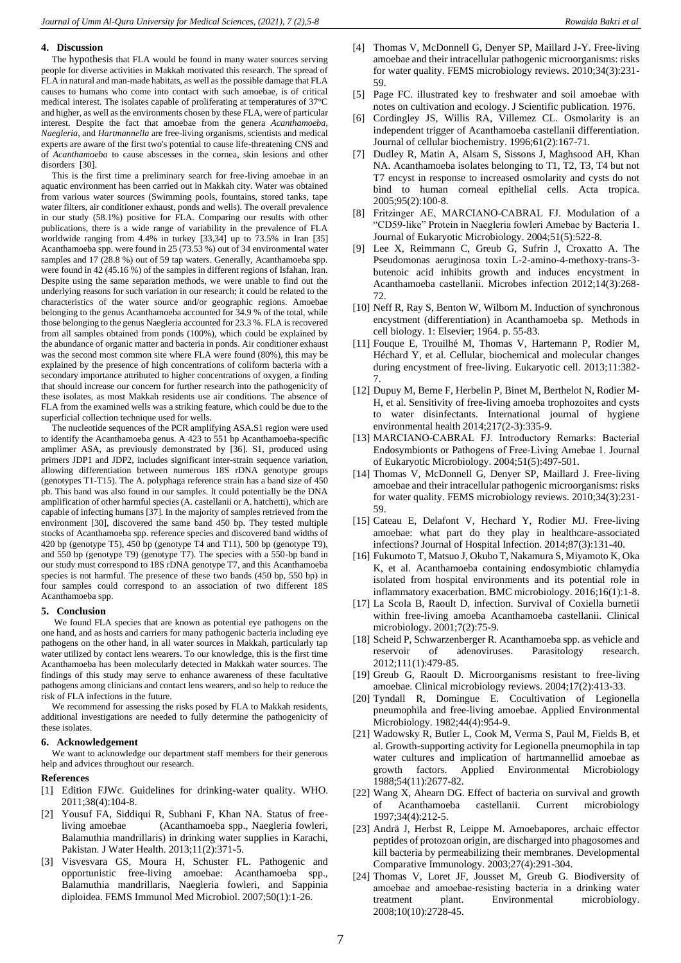#### **4. Discussion**

The hypothesis that FLA would be found in many water sources serving people for diverse activities in Makkah motivated this research. The spread of FLA in natural and man-made habitats, as well as the possible damage that FLA causes to humans who come into contact with such amoebae, is of critical medical interest. The isolates capable of proliferating at temperatures of 37°C and higher, as well as the environments chosen by these FLA, were of particular interest. Despite the fact that amoebae from the genera *Acanthamoeba*, *Naegleria*, and *Hartmannella* are free-living organisms, scientists and medical experts are aware of the first two's potential to cause life-threatening CNS and of *Acanthamoeba* to cause abscesses in the cornea, skin lesions and other disorders [30].

This is the first time a preliminary search for free-living amoebae in an aquatic environment has been carried out in Makkah city. Water was obtained from various water sources (Swimming pools, fountains, stored tanks, tape water filters, air conditioner exhaust, ponds and wells). The overall prevalence in our study (58.1%) positive for FLA. Comparing our results with other publications, there is a wide range of variability in the prevalence of FLA worldwide ranging from 4.4% in turkey [33,34] up to 73.5% in Iran [35] Acanthamoeba spp. were found in 25 (73.53 %) out of 34 environmental water samples and 17 (28.8 %) out of 59 tap waters. Generally, Acanthamoeba spp. were found in 42 (45.16 %) of the samples in different regions of Isfahan, Iran. Despite using the same separation methods, we were unable to find out the underlying reasons for such variation in our research; it could be related to the characteristics of the water source and/or geographic regions. Amoebae belonging to the genus Acanthamoeba accounted for 34.9 % of the total, while those belonging to the genus Naegleria accounted for 23.3 %. FLA is recovered from all samples obtained from ponds (100%), which could be explained by the abundance of organic matter and bacteria in ponds. Air conditioner exhaust was the second most common site where FLA were found (80%), this may be explained by the presence of high concentrations of coliform bacteria with a secondary importance attributed to higher concentrations of oxygen, a finding that should increase our concern for further research into the pathogenicity of these isolates, as most Makkah residents use air conditions. The absence of FLA from the examined wells was a striking feature, which could be due to the superficial collection technique used for wells.

The nucleotide sequences of the PCR amplifying ASA.S1 region were used to identify the Acanthamoeba genus. A 423 to 551 bp Acanthamoeba-specific amplimer ASA, as previously demonstrated by [36]. S1, produced using primers JDP1 and JDP2, includes significant inter-strain sequence variation, allowing differentiation between numerous 18S rDNA genotype groups (genotypes T1-T15). The A. polyphaga reference strain has a band size of 450 pb. This band was also found in our samples. It could potentially be the DNA amplification of other harmful species (A. castellanii or A. hatchetti), which are capable of infecting humans [37]. In the majority of samples retrieved from the environment [30], discovered the same band 450 bp. They tested multiple stocks of Acanthamoeba spp. reference species and discovered band widths of 420 bp (genotype T5), 450 bp (genotype T4 and T11), 500 bp (genotype T9), and 550 bp (genotype T9) (genotype T7). The species with a 550-bp band in our study must correspond to 18S rDNA genotype T7, and this Acanthamoeba species is not harmful. The presence of these two bands (450 bp, 550 bp) in four samples could correspond to an association of two different 18S Acanthamoeba spp.

#### **5. Conclusion**

We found FLA species that are known as potential eye pathogens on the one hand, and as hosts and carriers for many pathogenic bacteria including eye pathogens on the other hand, in all water sources in Makkah, particularly tap water utilized by contact lens wearers. To our knowledge, this is the first time Acanthamoeba has been molecularly detected in Makkah water sources. The findings of this study may serve to enhance awareness of these facultative pathogens among clinicians and contact lens wearers, and so help to reduce the risk of FLA infections in the future.

We recommend for assessing the risks posed by FLA to Makkah residents, additional investigations are needed to fully determine the pathogenicity of these isolates.

## **6. Acknowledgement**

We want to acknowledge our department staff members for their generous help and advices throughout our research.

### **References**

- [1] Edition FJWc. Guidelines for drinking-water quality. WHO. 2011;38(4):104-8.
- [2] Yousuf FA, Siddiqui R, Subhani F, Khan NA. Status of freeliving amoebae (Acanthamoeba spp., Naegleria fowleri, Balamuthia mandrillaris) in drinking water supplies in Karachi, Pakistan. J Water Health. 2013;11(2):371-5.
- [3] Visvesvara GS, Moura H, Schuster FL. Pathogenic and opportunistic free-living amoebae: Acanthamoeba spp., Balamuthia mandrillaris, Naegleria fowleri, and Sappinia diploidea. FEMS Immunol Med Microbiol. 2007;50(1):1-26.
- [4] Thomas V, McDonnell G, Denyer SP, Maillard J-Y. Free-living amoebae and their intracellular pathogenic microorganisms: risks for water quality. FEMS microbiology reviews. 2010;34(3):231- 59.
- [5] Page FC. illustrated key to freshwater and soil amoebae with notes on cultivation and ecology. J Scientific publication. 1976.
- [6] Cordingley JS, Willis RA, Villemez CL. Osmolarity is an independent trigger of Acanthamoeba castellanii differentiation. Journal of cellular biochemistry. 1996;61(2):167-71.
- [7] Dudley R, Matin A, Alsam S, Sissons J, Maghsood AH, Khan NA. Acanthamoeba isolates belonging to T1, T2, T3, T4 but not T7 encyst in response to increased osmolarity and cysts do not bind to human corneal epithelial cells. Acta tropica. 2005;95(2):100-8.
- [8] Fritzinger AE, MARCIANO‐CABRAL FJ. Modulation of a "CD59‐like" Protein in Naegleria fowleri Amebae by Bacteria 1. Journal of Eukaryotic Microbiology. 2004;51(5):522-8.
- [9] Lee X, Reimmann C, Greub G, Sufrin J, Croxatto A. The Pseudomonas aeruginosa toxin L-2-amino-4-methoxy-trans-3 butenoic acid inhibits growth and induces encystment in Acanthamoeba castellanii. Microbes infection 2012;14(3):268- 72.
- [10] Neff R, Ray S, Benton W, Wilborn M. Induction of synchronous encystment (differentiation) in Acanthamoeba sp. Methods in cell biology. 1: Elsevier; 1964. p. 55-83.
- [11] Fouque E, Trouilhé M, Thomas V, Hartemann P, Rodier M, Héchard Y, et al. Cellular, biochemical and molecular changes during encystment of free-living. Eukaryotic cell. 2013;11:382- 7.
- [12] Dupuy M, Berne F, Herbelin P, Binet M, Berthelot N, Rodier M-H, et al. Sensitivity of free-living amoeba trophozoites and cysts to water disinfectants. International journal of hygiene environmental health 2014;217(2-3):335-9.
- [13] MARCIANO-CABRAL FJ. Introductory Remarks: Bacterial Endosymbionts or Pathogens of Free‐Living Amebae 1. Journal of Eukaryotic Microbiology. 2004;51(5):497-501.
- [14] Thomas V, McDonnell G, Denyer SP, Maillard J. Free-living amoebae and their intracellular pathogenic microorganisms: risks for water quality. FEMS microbiology reviews. 2010;34(3):231- 59.
- [15] Cateau E, Delafont V, Hechard Y, Rodier MJ. Free-living amoebae: what part do they play in healthcare-associated infections? Journal of Hospital Infection. 2014;87(3):131-40.
- [16] Fukumoto T, Matsuo J, Okubo T, Nakamura S, Miyamoto K, Oka K, et al. Acanthamoeba containing endosymbiotic chlamydia isolated from hospital environments and its potential role in inflammatory exacerbation. BMC microbiology. 2016;16(1):1-8.
- [17] La Scola B, Raoult D, infection. Survival of Coxiella burnetii within free-living amoeba Acanthamoeba castellanii. Clinical microbiology. 2001;7(2):75-9.
- [18] Scheid P, Schwarzenberger R. Acanthamoeba spp. as vehicle and reservoir of adenoviruses. Parasitology research. 2012;111(1):479-85.
- [19] Greub G, Raoult D. Microorganisms resistant to free-living amoebae. Clinical microbiology reviews. 2004;17(2):413-33.
- [20] Tyndall R, Domingue E. Cocultivation of Legionella pneumophila and free-living amoebae. Applied Environmental Microbiology. 1982;44(4):954-9.
- [21] Wadowsky R, Butler L, Cook M, Verma S, Paul M, Fields B, et al. Growth-supporting activity for Legionella pneumophila in tap water cultures and implication of hartmannellid amoebae as growth factors. Applied Environmental Microbiology 1988;54(11):2677-82.
- [22] Wang X, Ahearn DG. Effect of bacteria on survival and growth of Acanthamoeba castellanii. Current microbiology 1997;34(4):212-5.
- [23] Andrä J, Herbst R, Leippe M. Amoebapores, archaic effector peptides of protozoan origin, are discharged into phagosomes and kill bacteria by permeabilizing their membranes. Developmental Comparative Immunology. 2003;27(4):291-304.
- [24] Thomas V, Loret JF, Jousset M, Greub G. Biodiversity of amoebae and amoebae‐resisting bacteria in a drinking water treatment plant. Environmental microbiology. 2008;10(10):2728-45.